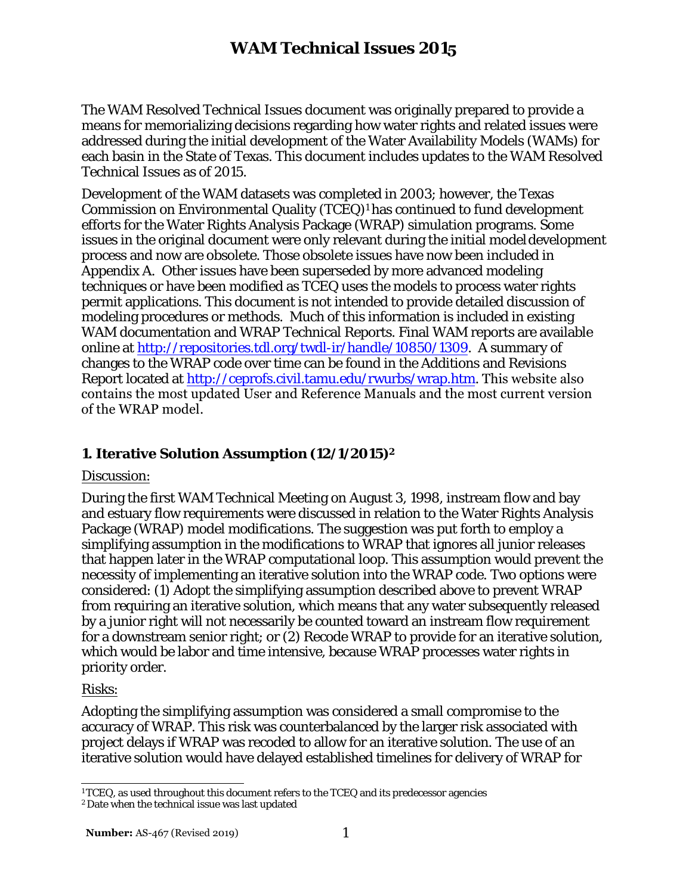The WAM Resolved Technical Issues document was originally prepared to provide a means for memorializing decisions regarding how water rights and related issues were addressed during the initial development of the Water Availability Models (WAMs) for each basin in the State of Texas. This document includes updates to the WAM Resolved Technical Issues as of 2015.

Development of the WAM datasets was completed in 2003; however, the Texas Commission on Environmental Quality (TCEQ)<sup>1</sup> has continued to fund development efforts for the Water Rights Analysis Package (WRAP) simulation programs. Some issues in the original document were only relevant during the initial model development process and now are obsolete. Those obsolete issues have now been included in Appendix A. Other issues have been superseded by more advanced modeling techniques or have been modified as TCEQ uses the models to process water rights permit applications. This document is not intended to provide detailed discussion of modeling procedures or methods. Much of this information is included in existing WAM documentation and WRAP Technical Reports. Final WAM reports are available online at http://repositories.tdl.org/twdl-ir/handle/10850/1309. A summary of changes to the WRAP code over time can be found in the Additions and Revisions Report located at http://ceprofs.civil.tamu.edu/rwurbs/wrap.htm. This website also contains the most updated User and Reference Manuals and the most current version of the WRAP model.

### **1. Iterative Solution Assumption (12/1/2015)<sup>2</sup>**

#### Discussion:

During the first WAM Technical Meeting on August 3, 1998, instream flow and bay and estuary flow requirements were discussed in relation to the Water Rights Analysis Package (WRAP) model modifications. The suggestion was put forth to employ a simplifying assumption in the modifications to WRAP that ignores all junior releases that happen later in the WRAP computational loop. This assumption would prevent the necessity of implementing an iterative solution into the WRAP code. Two options were considered: (1) Adopt the simplifying assumption described above to prevent WRAP from requiring an iterative solution, which means that any water subsequently released by a junior right will not necessarily be counted toward an instream flow requirement for a downstream senior right; or (2) Recode WRAP to provide for an iterative solution, which would be labor and time intensive, because WRAP processes water rights in priority order.

#### Risks:

Adopting the simplifying assumption was considered a small compromise to the accuracy of WRAP. This risk was counterbalanced by the larger risk associated with project delays if WRAP was recoded to allow for an iterative solution. The use of an iterative solution would have delayed established timelines for delivery of WRAP for

 $1^1$ TCEQ, as used throughout this document refers to the TCEQ and its predecessor agencies

<sup>2</sup> Date when the technical issue was last updated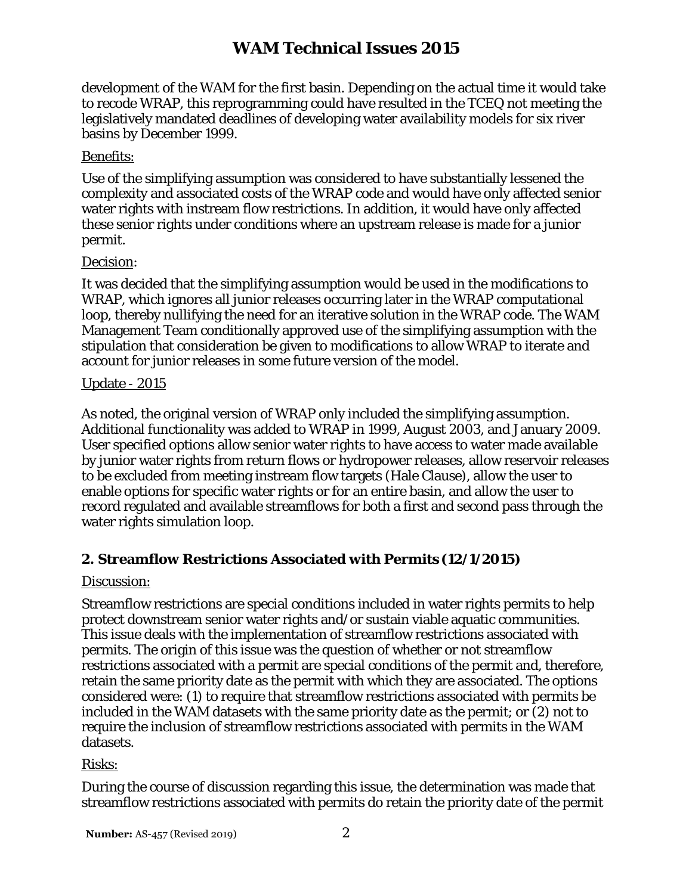development of the WAM for the first basin. Depending on the actual time it would take to recode WRAP, this reprogramming could have resulted in the TCEQ not meeting the legislatively mandated deadlines of developing water availability models for six river basins by December 1999.

## Benefits:

Use of the simplifying assumption was considered to have substantially lessened the complexity and associated costs of the WRAP code and would have only affected senior water rights with instream flow restrictions. In addition, it would have only affected these senior rights under conditions where an upstream release is made for a junior permit.

## Decision:

It was decided that the simplifying assumption would be used in the modifications to WRAP, which ignores all junior releases occurring later in the WRAP computational loop, thereby nullifying the need for an iterative solution in the WRAP code. The WAM Management Team conditionally approved use of the simplifying assumption with the stipulation that consideration be given to modifications to allow WRAP to iterate and account for junior releases in some future version of the model.

## Update - 2015

As noted, the original version of WRAP only included the simplifying assumption. Additional functionality was added to WRAP in 1999, August 2003, and January 2009. User specified options allow senior water rights to have access to water made available by junior water rights from return flows or hydropower releases, allow reservoir releases to be excluded from meeting instream flow targets (Hale Clause), allow the user to enable options for specific water rights or for an entire basin, and allow the user to record regulated and available streamflows for both a first and second pass through the water rights simulation loop.

# **2. Streamflow Restrictions Associated with Permits (12/1/2015)**

## Discussion:

Streamflow restrictions are special conditions included in water rights permits to help protect downstream senior water rights and/or sustain viable aquatic communities. This issue deals with the implementation of streamflow restrictions associated with permits. The origin of this issue was the question of whether or not streamflow restrictions associated with a permit are special conditions of the permit and, therefore, retain the same priority date as the permit with which they are associated. The options considered were: (1) to require that streamflow restrictions associated with permits be included in the WAM datasets with the same priority date as the permit; or (2) not to require the inclusion of streamflow restrictions associated with permits in the WAM datasets.

## Risks:

During the course of discussion regarding this issue, the determination was made that streamflow restrictions associated with permits do retain the priority date of the permit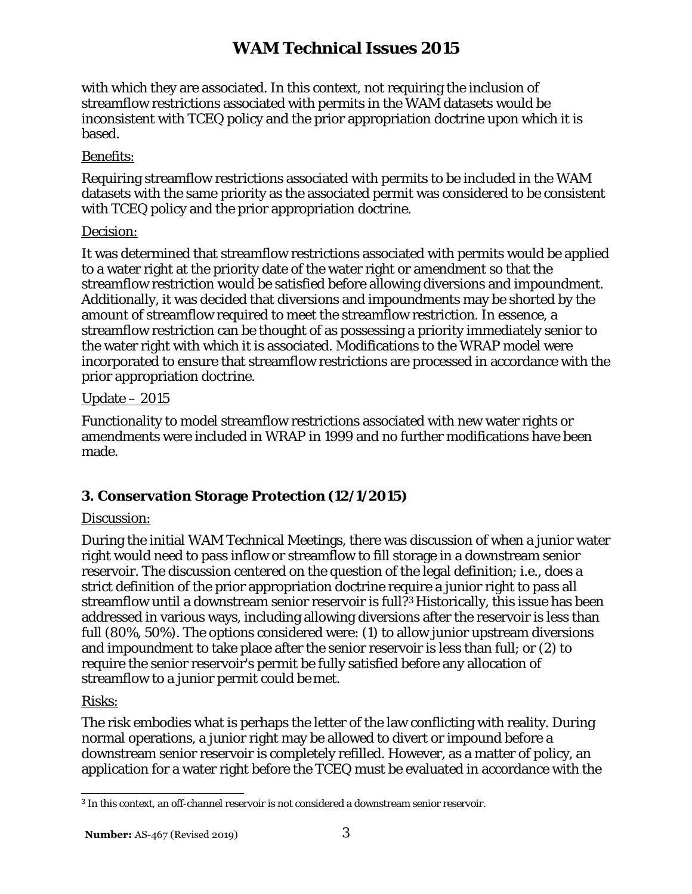with which they are associated. In this context, not requiring the inclusion of streamflow restrictions associated with permits in the WAM datasets would be inconsistent with TCEQ policy and the prior appropriation doctrine upon which it is based.

## Benefits:

Requiring streamflow restrictions associated with permits to be included in the WAM datasets with the same priority as the associated permit was considered to be consistent with TCEQ policy and the prior appropriation doctrine.

## Decision:

It was determined that streamflow restrictions associated with permits would be applied to a water right at the priority date of the water right or amendment so that the streamflow restriction would be satisfied before allowing diversions and impoundment. Additionally, it was decided that diversions and impoundments may be shorted by the amount of streamflow required to meet the streamflow restriction. In essence, a streamflow restriction can be thought of as possessing a priority immediately senior to the water right with which it is associated. Modifications to the WRAP model were incorporated to ensure that streamflow restrictions are processed in accordance with the prior appropriation doctrine.

## Update – 2015

Functionality to model streamflow restrictions associated with new water rights or amendments were included in WRAP in 1999 and no further modifications have been made.

# **3. Conservation Storage Protection (12/1/2015)**

## Discussion:

During the initial WAM Technical Meetings, there was discussion of when a junior water right would need to pass inflow or streamflow to fill storage in a downstream senior reservoir. The discussion centered on the question of the legal definition; i.e., does a strict definition of the prior appropriation doctrine require a junior right to pass all streamflow until a downstream senior reservoir is full?3 Historically, this issue has been addressed in various ways, including allowing diversions after the reservoir is less than full (80%, 50%). The options considered were: (1) to allow junior upstream diversions and impoundment to take place after the senior reservoir is less than full; or (2) to require the senior reservoir's permit be fully satisfied before any allocation of streamflow to a junior permit could be met.

## Risks:

The risk embodies what is perhaps the letter of the law conflicting with reality. During normal operations, a junior right may be allowed to divert or impound before a downstream senior reservoir is completely refilled. However, as a matter of policy, an application for a water right before the TCEQ must be evaluated in accordance with the

<sup>3</sup>In this context, an off-channel reservoir is not considered a downstream senior reservoir.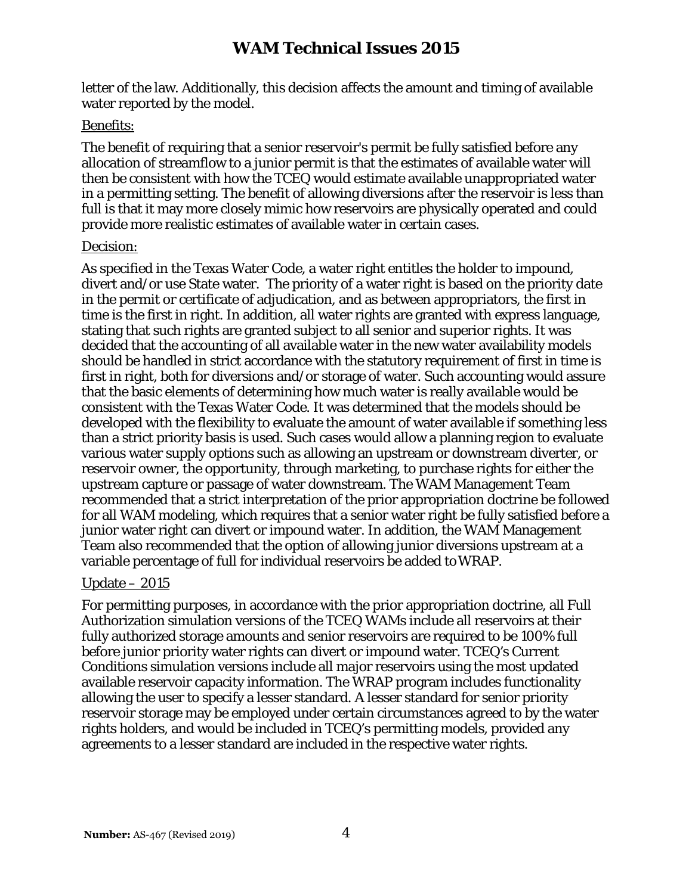letter of the law. Additionally, this decision affects the amount and timing of available water reported by the model.

#### Benefits:

The benefit of requiring that a senior reservoir's permit be fully satisfied before any allocation of streamflow to a junior permit is that the estimates of available water will then be consistent with how the TCEQ would estimate available unappropriated water in a permitting setting. The benefit of allowing diversions after the reservoir is less than full is that it may more closely mimic how reservoirs are physically operated and could provide more realistic estimates of available water in certain cases.

#### Decision:

As specified in the Texas Water Code, a water right entitles the holder to impound, divert and/or use State water. The priority of a water right is based on the priority date in the permit or certificate of adjudication, and as between appropriators, the first in time is the first in right. In addition, all water rights are granted with express language, stating that such rights are granted subject to all senior and superior rights. It was decided that the accounting of all available water in the new water availability models should be handled in strict accordance with the statutory requirement of first in time is first in right, both for diversions and/or storage of water. Such accounting would assure that the basic elements of determining how much water is really available would be consistent with the Texas Water Code. It was determined that the models should be developed with the flexibility to evaluate the amount of water available if something less than a strict priority basis is used. Such cases would allow a planning region to evaluate various water supply options such as allowing an upstream or downstream diverter, or reservoir owner, the opportunity, through marketing, to purchase rights for either the upstream capture or passage of water downstream. The WAM Management Team recommended that a strict interpretation of the prior appropriation doctrine be followed for all WAM modeling, which requires that a senior water right be fully satisfied before a junior water right can divert or impound water. In addition, the WAM Management Team also recommended that the option of allowing junior diversions upstream at a variable percentage of full for individual reservoirs be added toWRAP.

#### Update – 2015

For permitting purposes, in accordance with the prior appropriation doctrine, all Full Authorization simulation versions of the TCEQ WAMs include all reservoirs at their fully authorized storage amounts and senior reservoirs are required to be 100% full before junior priority water rights can divert or impound water. TCEQ's Current Conditions simulation versions include all major reservoirs using the most updated available reservoir capacity information. The WRAP program includes functionality allowing the user to specify a lesser standard. A lesser standard for senior priority reservoir storage may be employed under certain circumstances agreed to by the water rights holders, and would be included in TCEQ's permitting models, provided any agreements to a lesser standard are included in the respective water rights.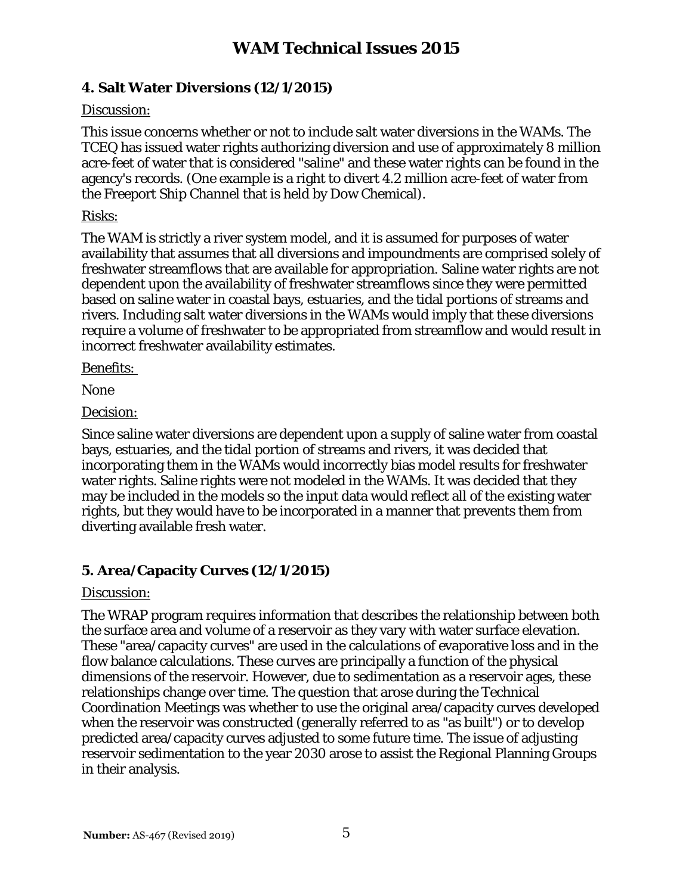## **4. Salt Water Diversions (12/1/2015)**

## Discussion:

This issue concerns whether or not to include salt water diversions in the WAMs. The TCEQ has issued water rights authorizing diversion and use of approximately 8 million acre-feet of water that is considered "saline" and these water rights can be found in the agency's records. (One example is a right to divert 4.2 million acre-feet of water from the Freeport Ship Channel that is held by Dow Chemical).

## Risks:

The WAM is strictly a river system model, and it is assumed for purposes of water availability that assumes that all diversions and impoundments are comprised solely of freshwater streamflows that are available for appropriation. Saline water rights are not dependent upon the availability of freshwater streamflows since they were permitted based on saline water in coastal bays, estuaries, and the tidal portions of streams and rivers. Including salt water diversions in the WAMs would imply that these diversions require a volume of freshwater to be appropriated from streamflow and would result in incorrect freshwater availability estimates.

Benefits:

None

Decision:

Since saline water diversions are dependent upon a supply of saline water from coastal bays, estuaries, and the tidal portion of streams and rivers, it was decided that incorporating them in the WAMs would incorrectly bias model results for freshwater water rights. Saline rights were not modeled in the WAMs. It was decided that they may be included in the models so the input data would reflect all of the existing water rights, but they would have to be incorporated in a manner that prevents them from diverting available fresh water.

# **5. Area/Capacity Curves (12/1/2015)**

## Discussion:

The WRAP program requires information that describes the relationship between both the surface area and volume of a reservoir as they vary with water surface elevation. These "area/capacity curves" are used in the calculations of evaporative loss and in the flow balance calculations. These curves are principally a function of the physical dimensions of the reservoir. However, due to sedimentation as a reservoir ages, these relationships change over time. The question that arose during the Technical Coordination Meetings was whether to use the original area/capacity curves developed when the reservoir was constructed (generally referred to as "as built") or to develop predicted area/capacity curves adjusted to some future time. The issue of adjusting reservoir sedimentation to the year 2030 arose to assist the Regional Planning Groups in their analysis.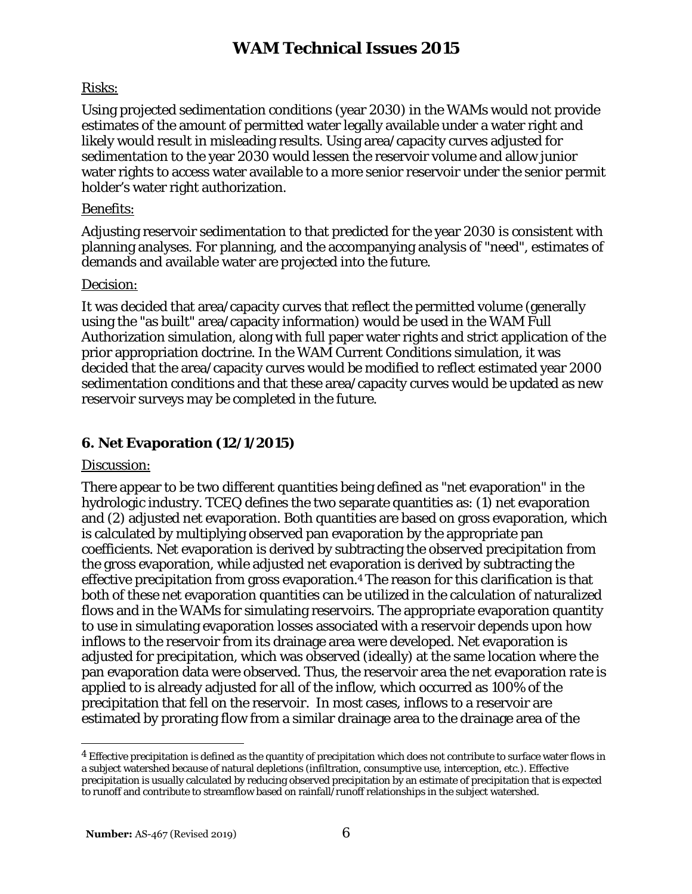# Risks:

Using projected sedimentation conditions (year 2030) in the WAMs would not provide estimates of the amount of permitted water legally available under a water right and likely would result in misleading results. Using area/capacity curves adjusted for sedimentation to the year 2030 would lessen the reservoir volume and allow junior water rights to access water available to a more senior reservoir under the senior permit holder's water right authorization.

## Benefits:

Adjusting reservoir sedimentation to that predicted for the year 2030 is consistent with planning analyses. For planning, and the accompanying analysis of "need", estimates of demands and available water are projected into the future.

## Decision:

It was decided that area/capacity curves that reflect the permitted volume (generally using the "as built" area/capacity information) would be used in the WAM Full Authorization simulation, along with full paper water rights and strict application of the prior appropriation doctrine. In the WAM Current Conditions simulation, it was decided that the area/capacity curves would be modified to reflect estimated year 2000 sedimentation conditions and that these area/capacity curves would be updated as new reservoir surveys may be completed in the future.

# **6. Net Evaporation (12/1/2015)**

#### Discussion:

There appear to be two different quantities being defined as "net evaporation" in the hydrologic industry. TCEQ defines the two separate quantities as: (1) net evaporation and (2) adjusted net evaporation. Both quantities are based on gross evaporation, which is calculated by multiplying observed pan evaporation by the appropriate pan coefficients. Net evaporation is derived by subtracting the observed precipitation from the gross evaporation, while adjusted net evaporation is derived by subtracting the effective precipitation from gross evaporation.4 The reason for this clarification is that both of these net evaporation quantities can be utilized in the calculation of naturalized flows and in the WAMs for simulating reservoirs. The appropriate evaporation quantity to use in simulating evaporation losses associated with a reservoir depends upon how inflows to the reservoir from its drainage area were developed. Net evaporation is adjusted for precipitation, which was observed (ideally) at the same location where the pan evaporation data were observed. Thus, the reservoir area the net evaporation rate is applied to is already adjusted for all of the inflow, which occurred as 100% of the precipitation that fell on the reservoir. In most cases, inflows to a reservoir are estimated by prorating flow from a similar drainage area to the drainage area of the

<sup>4</sup> Effective precipitation is defined as the quantity of precipitation which does not contribute to surface water flows in a subject watershed because of natural depletions (infiltration, consumptive use, interception, etc.). Effective precipitation is usually calculated by reducing observed precipitation by an estimate of precipitation that is expected to runoff and contribute to streamflow based on rainfall/runoff relationships in the subject watershed.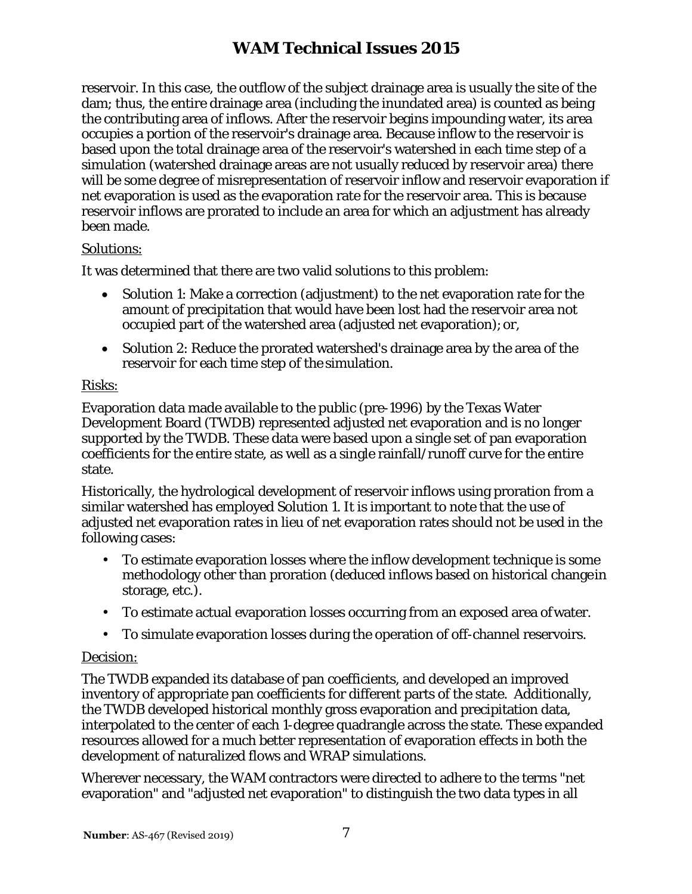reservoir. In this case, the outflow of the subject drainage area is usually the site of the dam; thus, the entire drainage area (including the inundated area) is counted as being the contributing area of inflows. After the reservoir begins impounding water, its area occupies a portion of the reservoir's drainage area. Because inflow to the reservoir is based upon the total drainage area of the reservoir's watershed in each time step of a simulation (watershed drainage areas are not usually reduced by reservoir area) there will be some degree of misrepresentation of reservoir inflow and reservoir evaporation if net evaporation is used as the evaporation rate for the reservoir area. This is because reservoir inflows are prorated to include an area for which an adjustment has already been made.

#### Solutions:

It was determined that there are two valid solutions to this problem:

- Solution 1: Make a correction (adjustment) to the net evaporation rate for the amount of precipitation that would have been lost had the reservoir area not occupied part of the watershed area (adjusted net evaporation); or,
- Solution 2: Reduce the prorated watershed's drainage area by the area of the reservoir for each time step of the simulation.

## Risks:

Evaporation data made available to the public (pre-1996) by the Texas Water Development Board (TWDB) represented adjusted net evaporation and is no longer supported by the TWDB. These data were based upon a single set of pan evaporation coefficients for the entire state, as well as a single rainfall/runoff curve for the entire state.

Historically, the hydrological development of reservoir inflows using proration from a similar watershed has employed Solution 1. It is important to note that the use of adjusted net evaporation rates in lieu of net evaporation rates should not be used in the following cases:

- To estimate evaporation losses where the inflow development technique is some methodology other than proration (deduced inflows based on historical changein storage, etc.).
- To estimate actual evaporation losses occurring from an exposed area ofwater.
- To simulate evaporation losses during the operation of off-channel reservoirs.

## Decision:

The TWDB expanded its database of pan coefficients, and developed an improved inventory of appropriate pan coefficients for different parts of the state. Additionally, the TWDB developed historical monthly gross evaporation and precipitation data, interpolated to the center of each 1-degree quadrangle across the state. These expanded resources allowed for a much better representation of evaporation effects in both the development of naturalized flows and WRAP simulations.

Wherever necessary, the WAM contractors were directed to adhere to the terms "net evaporation" and "adjusted net evaporation" to distinguish the two data types in all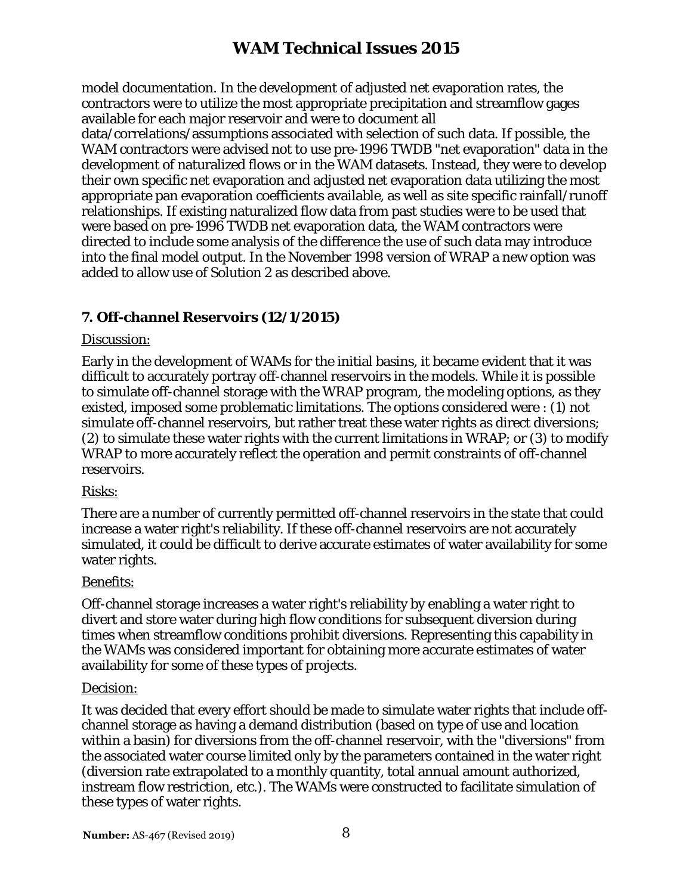model documentation. In the development of adjusted net evaporation rates, the contractors were to utilize the most appropriate precipitation and streamflow gages available for each major reservoir and were to document all

data/correlations/assumptions associated with selection of such data. If possible, the WAM contractors were advised not to use pre-1996 TWDB "net evaporation" data in the development of naturalized flows or in the WAM datasets. Instead, they were to develop their own specific net evaporation and adjusted net evaporation data utilizing the most appropriate pan evaporation coefficients available, as well as site specific rainfall/runoff relationships. If existing naturalized flow data from past studies were to be used that were based on pre-1996 TWDB net evaporation data, the WAM contractors were directed to include some analysis of the difference the use of such data may introduce into the final model output. In the November 1998 version of WRAP a new option was added to allow use of Solution 2 as described above.

# **7. Off-channel Reservoirs (12/1/2015)**

## Discussion:

Early in the development of WAMs for the initial basins, it became evident that it was difficult to accurately portray off-channel reservoirs in the models. While it is possible to simulate off-channel storage with the WRAP program, the modeling options, as they existed, imposed some problematic limitations. The options considered were : (1) not simulate off-channel reservoirs, but rather treat these water rights as direct diversions; (2) to simulate these water rights with the current limitations in WRAP; or (3) to modify WRAP to more accurately reflect the operation and permit constraints of off-channel reservoirs.

## Risks:

There are a number of currently permitted off-channel reservoirs in the state that could increase a water right's reliability. If these off-channel reservoirs are not accurately simulated, it could be difficult to derive accurate estimates of water availability for some water rights.

## Benefits:

Off-channel storage increases a water right's reliability by enabling a water right to divert and store water during high flow conditions for subsequent diversion during times when streamflow conditions prohibit diversions. Representing this capability in the WAMs was considered important for obtaining more accurate estimates of water availability for some of these types of projects.

#### Decision:

It was decided that every effort should be made to simulate water rights that include offchannel storage as having a demand distribution (based on type of use and location within a basin) for diversions from the off-channel reservoir, with the "diversions" from the associated water course limited only by the parameters contained in the water right (diversion rate extrapolated to a monthly quantity, total annual amount authorized, instream flow restriction, etc.). The WAMs were constructed to facilitate simulation of these types of water rights.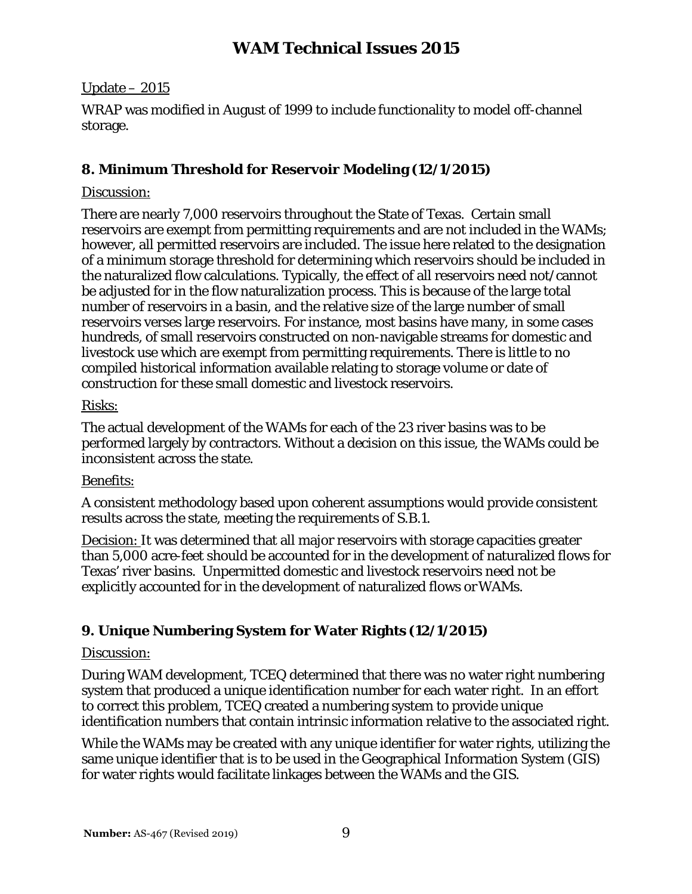#### Update – 2015

WRAP was modified in August of 1999 to include functionality to model off-channel storage.

# **8. Minimum Threshold for Reservoir Modeling (12/1/2015)**

## Discussion:

There are nearly 7,000 reservoirs throughout the State of Texas. Certain small reservoirs are exempt from permitting requirements and are not included in the WAMs; however, all permitted reservoirs are included. The issue here related to the designation of a minimum storage threshold for determining which reservoirs should be included in the naturalized flow calculations. Typically, the effect of all reservoirs need not/cannot be adjusted for in the flow naturalization process. This is because of the large total number of reservoirs in a basin, and the relative size of the large number of small reservoirs verses large reservoirs. For instance, most basins have many, in some cases hundreds, of small reservoirs constructed on non-navigable streams for domestic and livestock use which are exempt from permitting requirements. There is little to no compiled historical information available relating to storage volume or date of construction for these small domestic and livestock reservoirs.

## Risks:

The actual development of the WAMs for each of the 23 river basins was to be performed largely by contractors. Without a decision on this issue, the WAMs could be inconsistent across the state.

#### Benefits:

A consistent methodology based upon coherent assumptions would provide consistent results across the state, meeting the requirements of S.B.1.

Decision: It was determined that all major reservoirs with storage capacities greater than 5,000 acre-feet should be accounted for in the development of naturalized flows for Texas' river basins. Unpermitted domestic and livestock reservoirs need not be explicitly accounted for in the development of naturalized flows orWAMs.

## **9. Unique Numbering System for Water Rights (12/1/2015)**

#### Discussion:

During WAM development, TCEQ determined that there was no water right numbering system that produced a unique identification number for each water right. In an effort to correct this problem, TCEQ created a numbering system to provide unique identification numbers that contain intrinsic information relative to the associated right.

While the WAMs may be created with any unique identifier for water rights, utilizing the same unique identifier that is to be used in the Geographical Information System (GIS) for water rights would facilitate linkages between the WAMs and the GIS.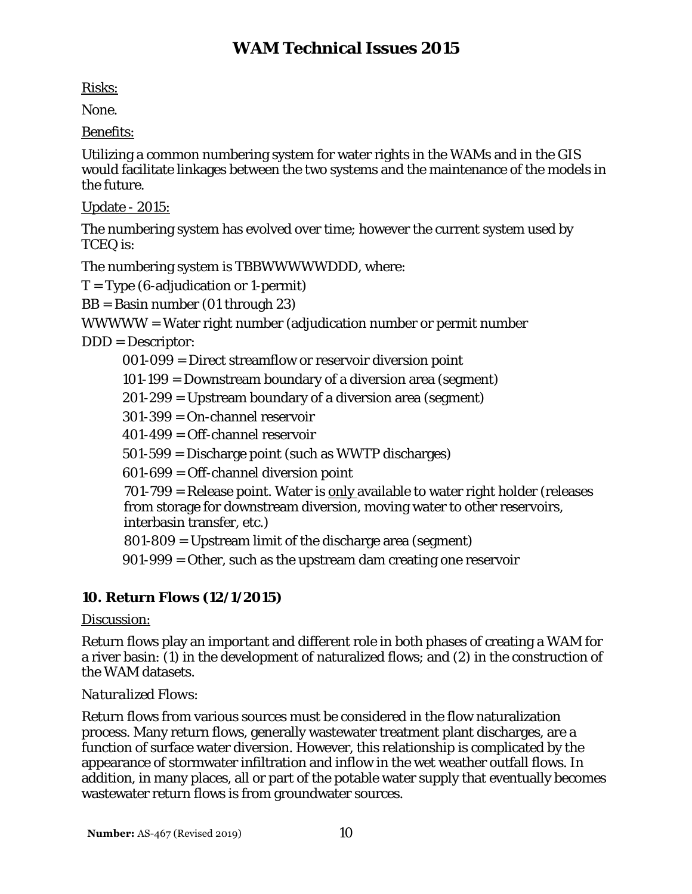Risks:

None.

Benefits:

Utilizing a common numbering system for water rights in the WAMs and in the GIS would facilitate linkages between the two systems and the maintenance of the models in the future.

Update - 2015:

The numbering system has evolved over time; however the current system used by TCEQ is:

The numbering system is TBBWWWWWDDD, where:

 $T = Type (6-adiudication or 1-permit)$ 

BB = Basin number (01 through 23)

WWWWW = Water right number (adjudication number or permit number

DDD = Descriptor:

001-099 = Direct streamflow or reservoir diversion point

101-199 = Downstream boundary of a diversion area (segment)

201-299 = Upstream boundary of a diversion area (segment)

301-399 = On-channel reservoir

401-499 = Off-channel reservoir

501-599 = Discharge point (such as WWTP discharges)

601-699 = Off-channel diversion point

701-799 = Release point. Water is only available to water right holder (releases from storage for downstream diversion, moving water to other reservoirs, interbasin transfer, etc.)

801-809 = Upstream limit of the discharge area (segment)

901-999 = Other, such as the upstream dam creating one reservoir

# **10. Return Flows (12/1/2015)**

## Discussion:

Return flows play an important and different role in both phases of creating a WAM for a river basin: (1) in the development of naturalized flows; and (2) in the construction of the WAM datasets.

# *Naturalized Flows:*

Return flows from various sources must be considered in the flow naturalization process. Many return flows, generally wastewater treatment plant discharges, are a function of surface water diversion. However, this relationship is complicated by the appearance of stormwater infiltration and inflow in the wet weather outfall flows. In addition, in many places, all or part of the potable water supply that eventually becomes wastewater return flows is from groundwater sources.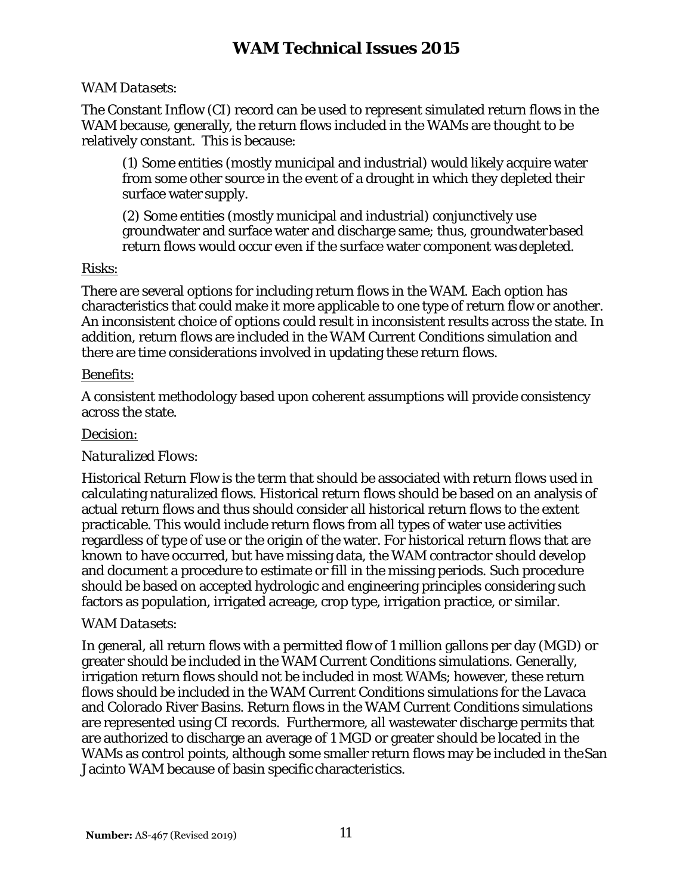#### *WAM Datasets:*

The Constant Inflow (CI) record can be used to represent simulated return flows in the WAM because, generally, the return flows included in the WAMs are thought to be relatively constant. This is because:

(1) Some entities (mostly municipal and industrial) would likely acquire water from some other source in the event of a drought in which they depleted their surface water supply.

(2) Some entities (mostly municipal and industrial) conjunctively use groundwater and surface water and discharge same; thus, groundwaterbased return flows would occur even if the surface water component was depleted.

## Risks:

There are several options for including return flows in the WAM. Each option has characteristics that could make it more applicable to one type of return flow or another. An inconsistent choice of options could result in inconsistent results across the state. In addition, return flows are included in the WAM Current Conditions simulation and there are time considerations involved in updating these return flows.

#### Benefits:

A consistent methodology based upon coherent assumptions will provide consistency across the state.

## Decision:

## *Naturalized Flows:*

Historical Return Flow is the term that should be associated with return flows used in calculating naturalized flows. Historical return flows should be based on an analysis of actual return flows and thus should consider all historical return flows to the extent practicable. This would include return flows from all types of water use activities regardless of type of use or the origin of the water. For historical return flows that are known to have occurred, but have missing data, the WAM contractor should develop and document a procedure to estimate or fill in the missing periods. Such procedure should be based on accepted hydrologic and engineering principles considering such factors as population, irrigated acreage, crop type, irrigation practice, or similar.

#### *WAM Datasets:*

In general, all return flows with a permitted flow of 1 million gallons per day (MGD) or greater should be included in the WAM Current Conditions simulations. Generally, irrigation return flows should not be included in most WAMs; however, these return flows should be included in the WAM Current Conditions simulations for the Lavaca and Colorado River Basins. Return flows in the WAM Current Conditions simulations are represented using CI records. Furthermore, all wastewater discharge permits that are authorized to discharge an average of 1 MGD or greater should be located in the WAMs as control points, although some smaller return flows may be included in theSan Jacinto WAM because of basin specific characteristics.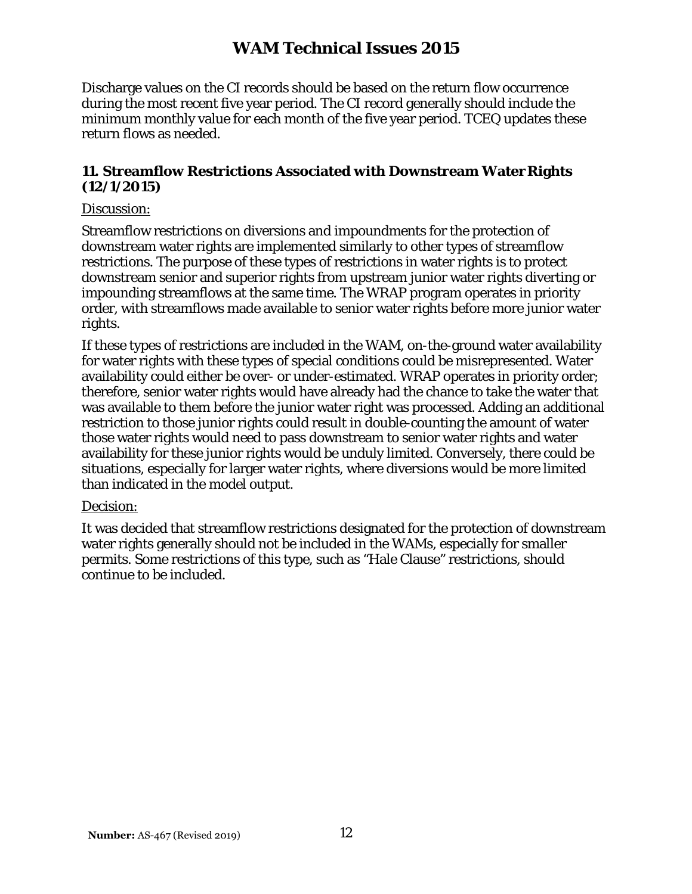Discharge values on the CI records should be based on the return flow occurrence during the most recent five year period. The CI record generally should include the minimum monthly value for each month of the five year period. TCEQ updates these return flows as needed.

## **11. Streamflow Restrictions Associated with Downstream WaterRights (12/1/2015)**

### Discussion:

Streamflow restrictions on diversions and impoundments for the protection of downstream water rights are implemented similarly to other types of streamflow restrictions. The purpose of these types of restrictions in water rights is to protect downstream senior and superior rights from upstream junior water rights diverting or impounding streamflows at the same time. The WRAP program operates in priority order, with streamflows made available to senior water rights before more junior water rights.

If these types of restrictions are included in the WAM, on-the-ground water availability for water rights with these types of special conditions could be misrepresented. Water availability could either be over- or under-estimated. WRAP operates in priority order; therefore, senior water rights would have already had the chance to take the water that was available to them before the junior water right was processed. Adding an additional restriction to those junior rights could result in double-counting the amount of water those water rights would need to pass downstream to senior water rights and water availability for these junior rights would be unduly limited. Conversely, there could be situations, especially for larger water rights, where diversions would be more limited than indicated in the model output.

#### Decision:

It was decided that streamflow restrictions designated for the protection of downstream water rights generally should not be included in the WAMs, especially for smaller permits. Some restrictions of this type, such as "Hale Clause" restrictions, should continue to be included.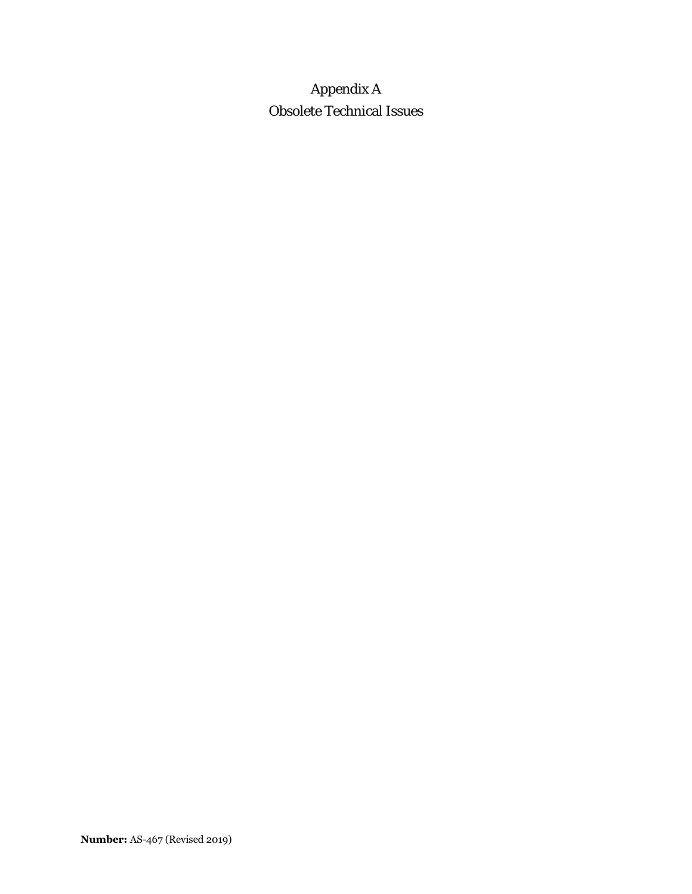# Appendix A Obsolete Technical Issues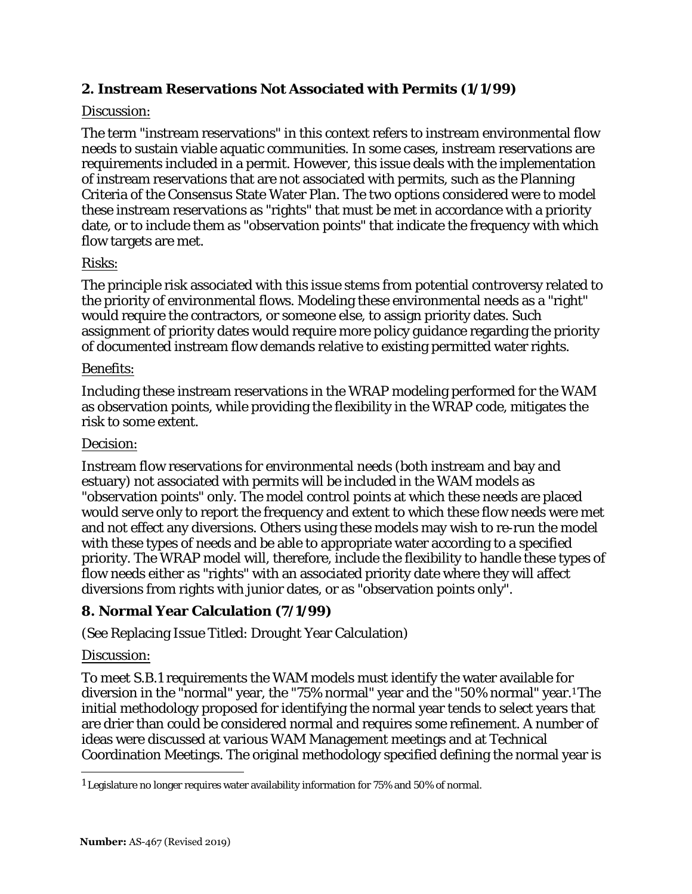## **2. Instream Reservations Not Associated with Permits (1/1/99)**

## Discussion:

The term "instream reservations" in this context refers to instream environmental flow needs to sustain viable aquatic communities. In some cases, instream reservations are requirements included in a permit. However, this issue deals with the implementation of instream reservations that are not associated with permits, such as the Planning Criteria of the Consensus State Water Plan. The two options considered were to model these instream reservations as "rights" that must be met in accordance with a priority date, or to include them as "observation points" that indicate the frequency with which flow targets are met.

## Risks:

The principle risk associated with this issue stems from potential controversy related to the priority of environmental flows. Modeling these environmental needs as a "right" would require the contractors, or someone else, to assign priority dates. Such assignment of priority dates would require more policy guidance regarding the priority of documented instream flow demands relative to existing permitted water rights.

## Benefits:

Including these instream reservations in the WRAP modeling performed for the WAM as observation points, while providing the flexibility in the WRAP code, mitigates the risk to some extent.

## Decision:

Instream flow reservations for environmental needs (both instream and bay and estuary) not associated with permits will be included in the WAM models as "observation points" only. The model control points at which these needs are placed would serve only to report the frequency and extent to which these flow needs were met and not effect any diversions. Others using these models may wish to re-run the model with these types of needs and be able to appropriate water according to a specified priority. The WRAP model will, therefore, include the flexibility to handle these types of flow needs either as "rights" with an associated priority date where they will affect diversions from rights with junior dates, or as "observation points only".

## **8. Normal Year Calculation (7/1/99)**

See Replacing Issue Titled: Drought Year Calculation) (

## <u>Discussion:</u>

To meet S.B.1 requirements the WAM models must identify the water available for diversion in the "normal" year, the "75% normal" year and the "50% normal" year.1 The nitial methodology proposed for identifying the normal year tends to select years that i are drier than could be considered normal and requires some refinement. A number of deas were discussed at various WAM Management meetings and at Technical i Coordination Meetings. The original methodology specified defining the normal year is

<sup>1</sup> Legislature no longer requires water availability information for 75% and 50% of normal.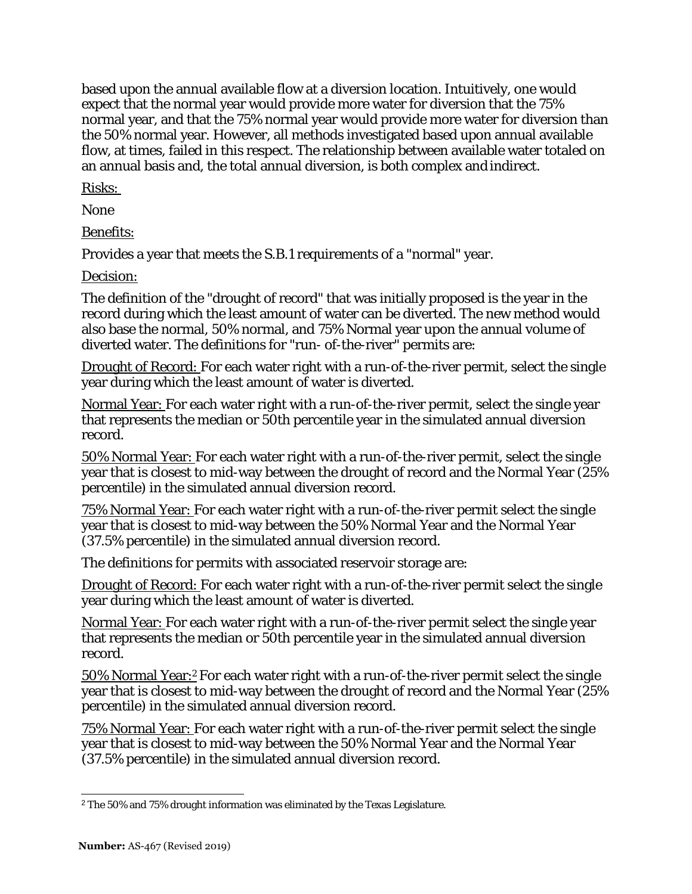based upon the annual available flow at a diversion location. Intuitively, one would expect that the normal year would provide more water for diversion that the 75% normal year, and that the 75% normal year would provide more water for diversion than the 50% normal year. However, all methods investigated based upon annual available flow, at times, failed in this respect. The relationship between available water totaled on an annual basis and, the total annual diversion, is both complex and indirect.

Risks:

None

Benefits:

Provides a year that meets the S.B.1 requirements of a "normal" year.

Decision:

The definition of the "drought of record" that was initially proposed is the year in the record during which the least amount of water can be diverted. The new method would also base the normal, 50% normal, and 75% Normal year upon the annual volume of diverted water. The definitions for "run- of-the-river" permits are:

Drought of Record: For each water right with a run-of-the-river permit, select the single year during which the least amount of water is diverted.

Normal Year: For each water right with a run-of-the-river permit, select the single year that represents the median or 50th percentile year in the simulated annual diversion record.

50% Normal Year: For each water right with a run-of-the-river permit, select the single year that is closest to mid-way between the drought of record and the Normal Year (25% percentile) in the simulated annual diversion record.

75% Normal Year: For each water right with a run-of-the-river permit select the single year that is closest to mid-way between the 50% Normal Year and the Normal Year (37.5% percentile) in the simulated annual diversion record.

The definitions for permits with associated reservoir storage are:

Drought of Record: For each water right with a run-of-the-river permit select the single year during which the least amount of water is diverted.

Normal Year: For each water right with a run-of-the-river permit select the single year that represents the median or 50th percentile year in the simulated annual diversion record.

50% Normal Year:2 For each water right with a run-of-the-river permit select the single year that is closest to mid-way between the drought of record and the Normal Year (25% percentile) in the simulated annual diversion record.

75% Normal Year: For each water right with a run-of-the-river permit select the single year that is closest to mid-way between the 50% Normal Year and the Normal Year (37.5% percentile) in the simulated annual diversion record.

<sup>2</sup>The 50% and 75% drought information was eliminated by the Texas Legislature.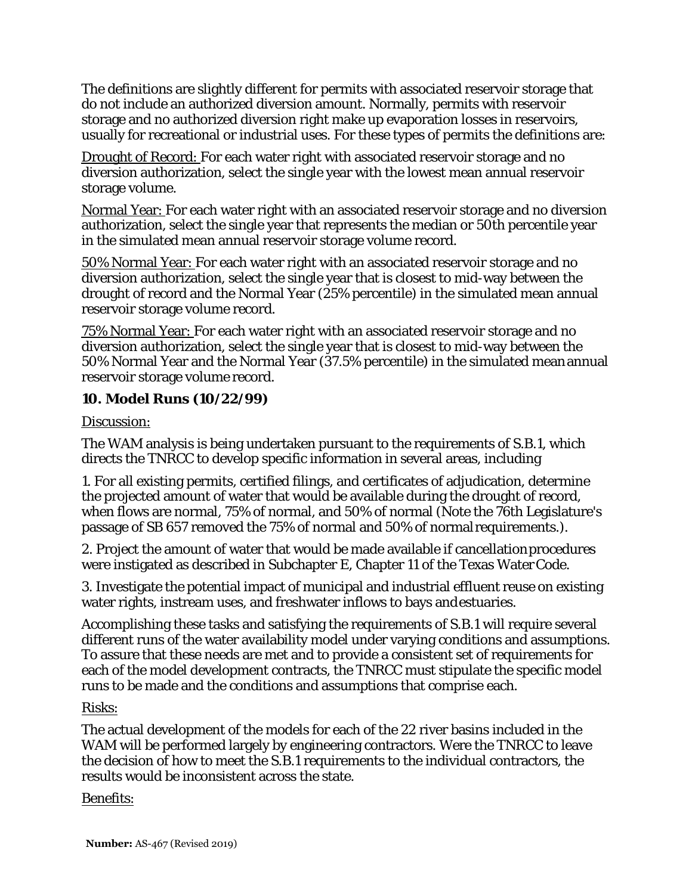The definitions are slightly different for permits with associated reservoir storage that do not include an authorized diversion amount. Normally, permits with reservoir storage and no authorized diversion right make up evaporation losses in reservoirs, usually for recreational or industrial uses. For these types of permits the definitions are:

Drought of Record: For each water right with associated reservoir storage and no diversion authorization, select the single year with the lowest mean annual reservoir storage volume.

Normal Year: For each water right with an associated reservoir storage and no diversion authorization, select the single year that represents the median or 50th percentile year in the simulated mean annual reservoir storage volume record.

50% Normal Year: For each water right with an associated reservoir storage and no diversion authorization, select the single year that is closest to mid-way between the drought of record and the Normal Year (25% percentile) in the simulated mean annual reservoir storage volume record.

75% Normal Year: For each water right with an associated reservoir storage and no diversion authorization, select the single year that is closest to mid-way between the 50% Normal Year and the Normal Year (37.5% percentile) in the simulated meanannual reservoir storage volume record.

# **10. Model Runs (10/22/99)**

Discussion:

The WAM analysis is being undertaken pursuant to the requirements of S.B.1, which directs the TNRCC to develop specific information in several areas, including

1. For all existing permits, certified filings, and certificates of adjudication, determine the projected amount of water that would be available during the drought of record, when flows are normal, 75% of normal, and 50% of normal (Note the 76th Legislature's passage of SB 657 removed the 75% of normal and 50% of normal requirements.).

2. Project the amount of water that would be made available if cancellationprocedures were instigated as described in Subchapter E, Chapter 11 of the Texas WaterCode.

3. Investigate the potential impact of municipal and industrial effluent reuse on existing water rights, instream uses, and freshwater inflows to bays andestuaries.

Accomplishing these tasks and satisfying the requirements of S.B.1 will require several different runs of the water availability model under varying conditions and assumptions. To assure that these needs are met and to provide a consistent set of requirements for each of the model development contracts, the TNRCC must stipulate the specific model runs to be made and the conditions and assumptions that comprise each.

## Risks:

The actual development of the models for each of the 22 river basins included in the WAM will be performed largely by engineering contractors. Were the TNRCC to leave the decision of how to meet the S.B.1 requirements to the individual contractors, the results would be inconsistent across the state.

## Benefits: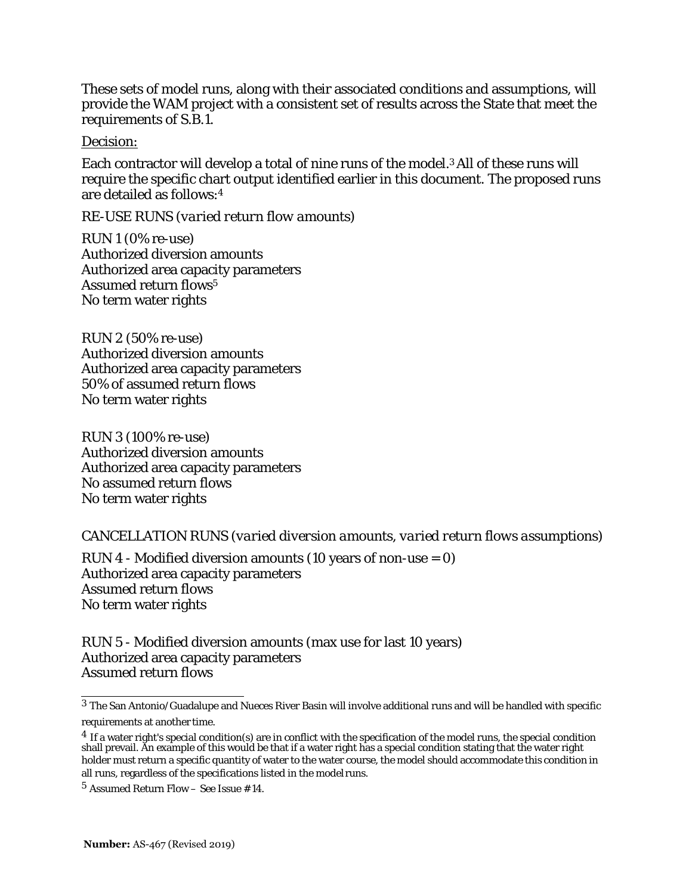These sets of model runs, along with their associated conditions and assumptions, will provide the WAM project with a consistent set of results across the State that meet the requirements of S.B.1.

Decision:

Each contractor will develop a total of nine runs of the model.3 All of these runs will require the specific chart output identified earlier in this document. The proposed runs are detailed as follows:4

*RE-USE RUNS (varied return flow amounts)*

RUN 1 (0% re-use) Authorized diversion amounts Authorized area capacity parameters Assumed return flows<sup>5</sup> No term water rights

RUN 2 (50% re-use) Authorized diversion amounts Authorized area capacity parameters 50% of assumed return flows No term water rights

RUN 3 (100% re-use) Authorized diversion amounts Authorized area capacity parameters No assumed return flows No term water rights

*CANCELLATION RUNS (varied diversion amounts, varied return flows assumptions)*

RUN 4 - Modified diversion amounts (10 years of non-use  $= 0$ ) Authorized area capacity parameters Assumed return flows No term water rights

RUN 5 - Modified diversion amounts (max use for last 10 years) Authorized area capacity parameters Assumed return flows

<sup>3</sup> The San Antonio/Guadalupe and Nueces River Basin will involve additional runs and will be handled with specific requirements at another time.

 $^4$  If a water right's special condition(s) are in conflict with the specification of the model runs, the special condition shall prevail. An example of this would be that if a water right has a special condition stating that the water right holder must return a specific quantity of water to the water course, the model should accommodate this condition in all runs, regardless of the specifications listed in the model runs.

<sup>5</sup> Assumed Return Flow – See Issue #14.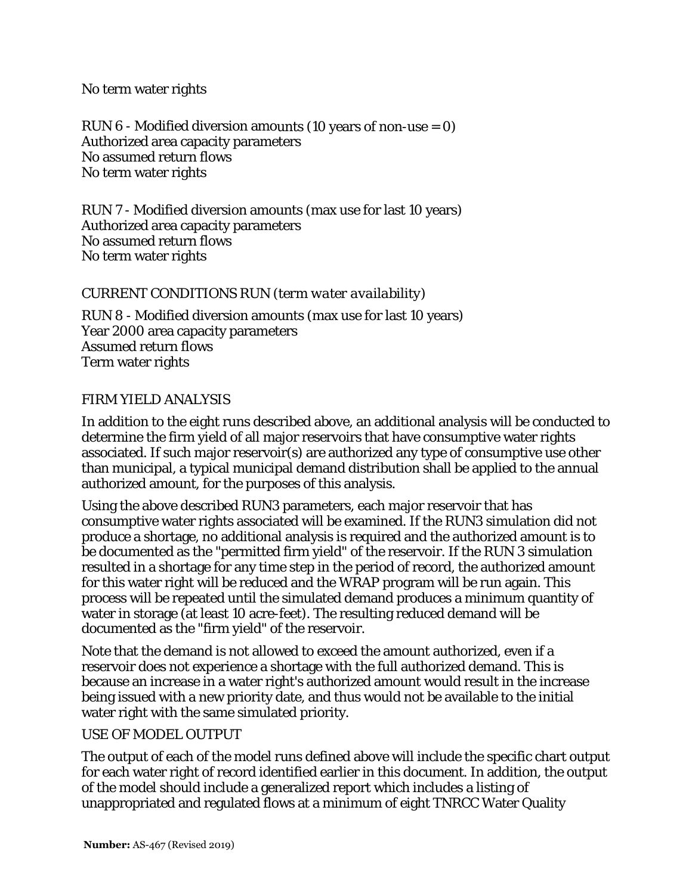#### No term water rights

RUN 6 - Modified diversion amounts (10 years of non-use = 0) Authorized area capacity parameters No assumed return flows No term water rights

RUN 7 - Modified diversion amounts (max use for last 10 years) Authorized area capacity parameters No assumed return flows No term water rights

#### *CURRENT CONDITIONS RUN (term water availability)*

RUN 8 - Modified diversion amounts (max use for last 10 years) Year 2000 area capacity parameters Assumed return flows Term water rights

## *FIRM YIELD ANALYSIS*

In addition to the eight runs described above, an additional analysis will be conducted to determine the firm yield of all major reservoirs that have consumptive water rights associated. If such major reservoir(s) are authorized any type of consumptive use other than municipal, a typical municipal demand distribution shall be applied to the annual authorized amount, for the purposes of this analysis.

Using the above described RUN3 parameters, each major reservoir that has consumptive water rights associated will be examined. If the RUN3 simulation did not produce a shortage, no additional analysis is required and the authorized amount is to be documented as the "permitted firm yield" of the reservoir. If the RUN 3 simulation resulted in a shortage for any time step in the period of record, the authorized amount for this water right will be reduced and the WRAP program will be run again. This process will be repeated until the simulated demand produces a minimum quantity of water in storage (at least 10 acre-feet). The resulting reduced demand will be documented as the "firm yield" of the reservoir.

Note that the demand is not allowed to exceed the amount authorized, even if a reservoir does not experience a shortage with the full authorized demand. This is because an increase in a water right's authorized amount would result in the increase being issued with a new priority date, and thus would not be available to the initial water right with the same simulated priority.

#### *USE OF MODEL OUTPUT*

The output of each of the model runs defined above will include the specific chart output for each water right of record identified earlier in this document. In addition, the output of the model should include a generalized report which includes a listing of unappropriated and regulated flows at a minimum of eight TNRCC Water Quality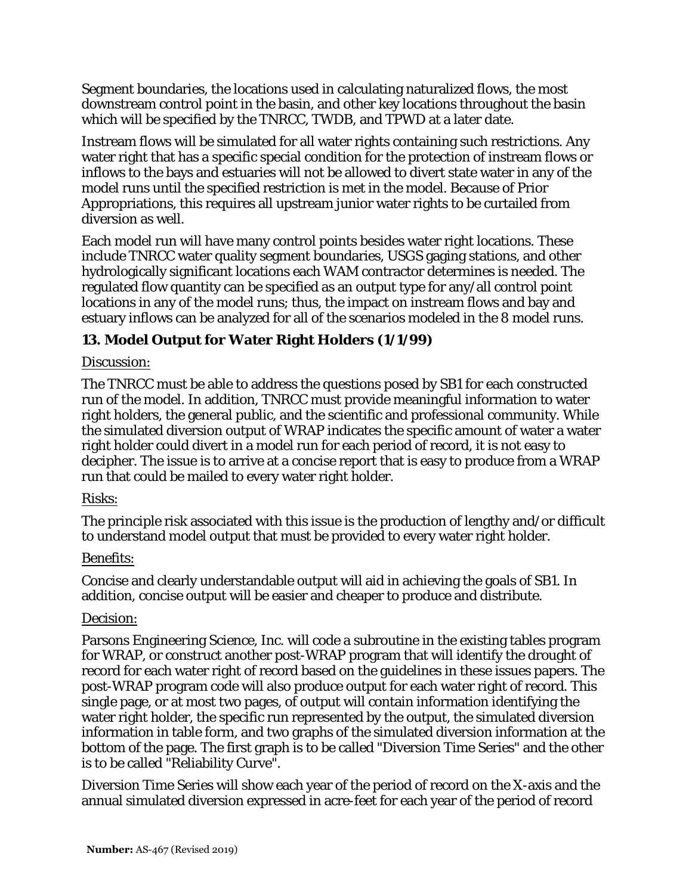Segment boundaries, the locations used in calculating naturalized flows, the most downstream control point in the basin, and other key locations throughout the basin which will be specified by the TNRCC, TWDB, and TPWD at a later date.

Instream flows will be simulated for all water rights containing such restrictions. Any water right that has a specific special condition for the protection of instream flows or inflows to the bays and estuaries will not be allowed to divert state water in any of the model runs until the specified restriction is met in the model. Because of Prior Appropriations, this requires all upstream junior water rights to be curtailed from diversion as well.

Each model run will have many control points besides water right locations. These include TNRCC water quality segment boundaries, USGS gaging stations, and other hydrologically significant locations each WAM contractor determines is needed. The regulated flow quantity can be specified as an output type for any/all control point locations in any of the model runs; thus, the impact on instream flows and bay and estuary inflows can be analyzed for all of the scenarios modeled in the 8 model runs.

# **13. Model Output for Water Right Holders (1/1/99)**

## Discussion:

The TNRCC must be able to address the questions posed by SB1 for each constructed run of the model. In addition, TNRCC must provide meaningful information to water right holders, the general public, and the scientific and professional community. While the simulated diversion output of WRAP indicates the specific amount of water a water right holder could divert in a model run for each period of record, it is not easy to decipher. The issue is to arrive at a concise report that is easy to produce from a WRAP run that could be mailed to every water right holder.

#### Risks:

The principle risk associated with this issue is the production of lengthy and/or difficult to understand model output that must be provided to every water right holder.

#### Benefits:

Concise and clearly understandable output will aid in achieving the goals of SB1. In addition, concise output will be easier and cheaper to produce and distribute.

#### Decision:

Parsons Engineering Science, Inc. will code a subroutine in the existing tables program for WRAP, or construct another post-WRAP program that will identify the drought of record for each water right of record based on the guidelines in these issues papers. The post-WRAP program code will also produce output for each water right of record. This single page, or at most two pages, of output will contain information identifying the water right holder, the specific run represented by the output, the simulated diversion information in table form, and two graphs of the simulated diversion information at the bottom of the page. The first graph is to be called "Diversion Time Series" and the other is to be called "Reliability Curve".

Diversion Time Series will show each year of the period of record on the X-axis and the annual simulated diversion expressed in acre-feet for each year of the period of record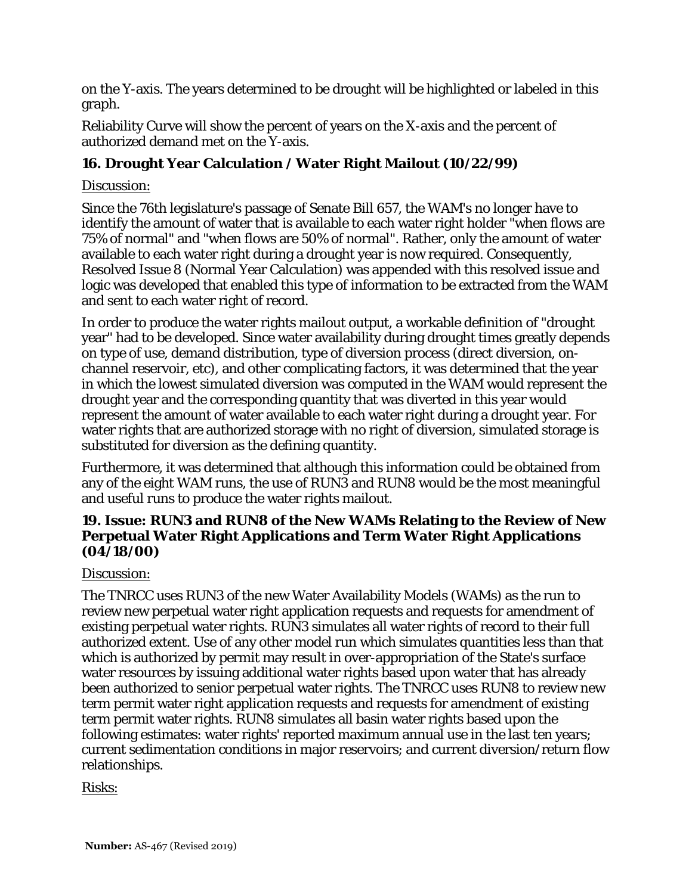on the Y-axis. The years determined to be drought will be highlighted or labeled in this graph.

Reliability Curve will show the percent of years on the X-axis and the percent of authorized demand met on the Y-axis.

# **16. Drought Year Calculation / Water Right Mailout (10/22/99)**

# Discussion:

Since the 76th legislature's passage of Senate Bill 657, the WAM's no longer have to identify the amount of water that is available to each water right holder "when flows are 75% of normal" and "when flows are 50% of normal". Rather, only the amount of water available to each water right during a drought year is now required. Consequently, Resolved Issue 8 (Normal Year Calculation) was appended with this resolved issue and logic was developed that enabled this type of information to be extracted from the WAM and sent to each water right of record.

In order to produce the water rights mailout output, a workable definition of "drought year" had to be developed. Since water availability during drought times greatly depends on type of use, demand distribution, type of diversion process (direct diversion, onchannel reservoir, etc), and other complicating factors, it was determined that the year in which the lowest simulated diversion was computed in the WAM would represent the drought year and the corresponding quantity that was diverted in this year would represent the amount of water available to each water right during a drought year. For water rights that are authorized storage with no right of diversion, simulated storage is substituted for diversion as the defining quantity.

Furthermore, it was determined that although this information could be obtained from any of the eight WAM runs, the use of RUN3 and RUN8 would be the most meaningful and useful runs to produce the water rights mailout.

# **19. Issue: RUN3 and RUN8 of the New WAMs Relating to the Review of New Perpetual Water Right Applications and Term Water Right Applications (04/18/00)**

# Discussion:

The TNRCC uses RUN3 of the new Water Availability Models (WAMs) as the run to review new perpetual water right application requests and requests for amendment of existing perpetual water rights. RUN3 simulates all water rights of record to their full authorized extent. Use of any other model run which simulates quantities less than that which is authorized by permit may result in over-appropriation of the State's surface water resources by issuing additional water rights based upon water that has already been authorized to senior perpetual water rights. The TNRCC uses RUN8 to review new term permit water right application requests and requests for amendment of existing term permit water rights. RUN8 simulates all basin water rights based upon the following estimates: water rights' reported maximum annual use in the last ten years; current sedimentation conditions in major reservoirs; and current diversion/return flow relationships.

# Risks: